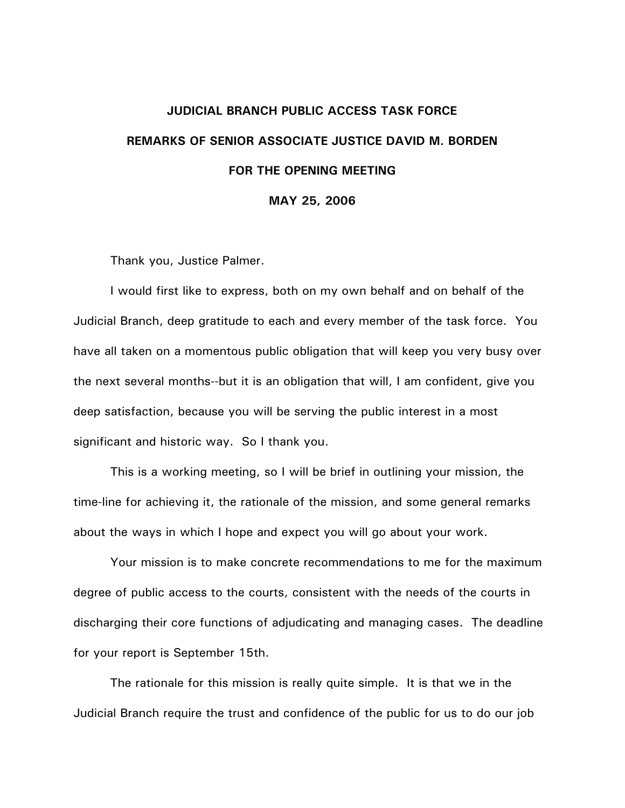## **JUDICIAL BRANCH PUBLIC ACCESS TASK FORCE REMARKS OF SENIOR ASSOCIATE JUSTICE DAVID M. BORDEN FOR THE OPENING MEETING**

**MAY 25, 2006** 

Thank you, Justice Palmer.

 I would first like to express, both on my own behalf and on behalf of the Judicial Branch, deep gratitude to each and every member of the task force. You have all taken on a momentous public obligation that will keep you very busy over the next several months--but it is an obligation that will, I am confident, give you deep satisfaction, because you will be serving the public interest in a most significant and historic way. So I thank you.

 This is a working meeting, so I will be brief in outlining your mission, the time-line for achieving it, the rationale of the mission, and some general remarks about the ways in which I hope and expect you will go about your work.

 Your mission is to make concrete recommendations to me for the maximum degree of public access to the courts, consistent with the needs of the courts in discharging their core functions of adjudicating and managing cases. The deadline for your report is September 15th.

 The rationale for this mission is really quite simple. It is that we in the Judicial Branch require the trust and confidence of the public for us to do our job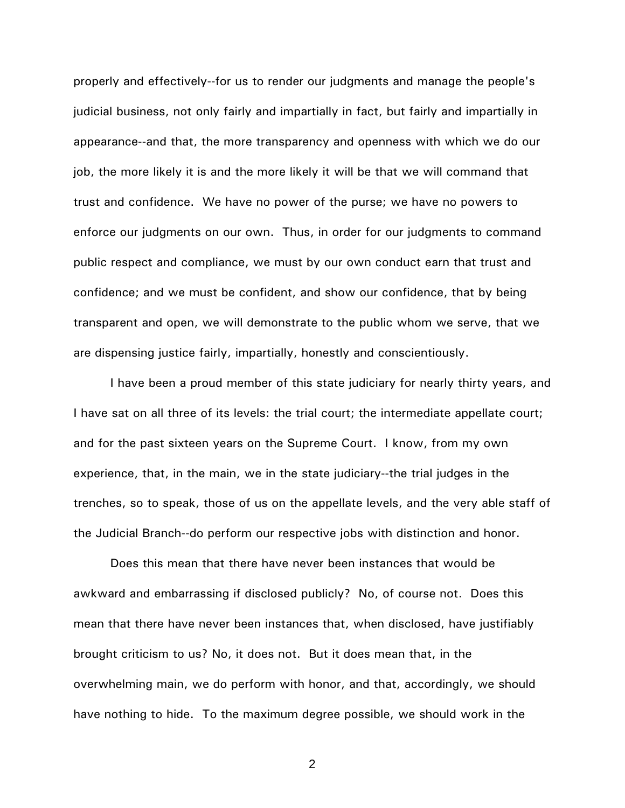properly and effectively--for us to render our judgments and manage the people's judicial business, not only fairly and impartially in fact, but fairly and impartially in appearance--and that, the more transparency and openness with which we do our job, the more likely it is and the more likely it will be that we will command that trust and confidence. We have no power of the purse; we have no powers to enforce our judgments on our own. Thus, in order for our judgments to command public respect and compliance, we must by our own conduct earn that trust and confidence; and we must be confident, and show our confidence, that by being transparent and open, we will demonstrate to the public whom we serve, that we are dispensing justice fairly, impartially, honestly and conscientiously.

 I have been a proud member of this state judiciary for nearly thirty years, and I have sat on all three of its levels: the trial court; the intermediate appellate court; and for the past sixteen years on the Supreme Court. I know, from my own experience, that, in the main, we in the state judiciary--the trial judges in the trenches, so to speak, those of us on the appellate levels, and the very able staff of the Judicial Branch--do perform our respective jobs with distinction and honor.

 Does this mean that there have never been instances that would be awkward and embarrassing if disclosed publicly? No, of course not. Does this mean that there have never been instances that, when disclosed, have justifiably brought criticism to us? No, it does not. But it does mean that, in the overwhelming main, we do perform with honor, and that, accordingly, we should have nothing to hide. To the maximum degree possible, we should work in the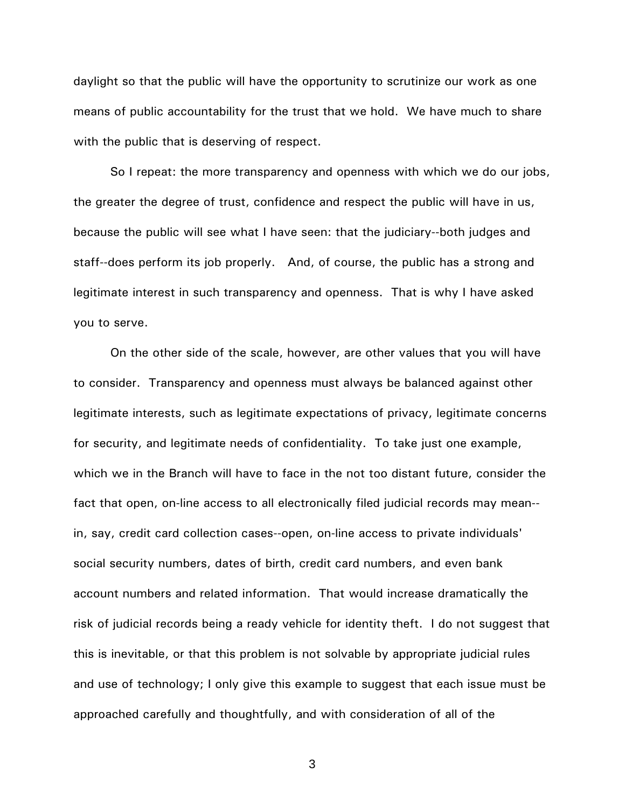daylight so that the public will have the opportunity to scrutinize our work as one means of public accountability for the trust that we hold. We have much to share with the public that is deserving of respect.

 So I repeat: the more transparency and openness with which we do our jobs, the greater the degree of trust, confidence and respect the public will have in us, because the public will see what I have seen: that the judiciary--both judges and staff--does perform its job properly. And, of course, the public has a strong and legitimate interest in such transparency and openness. That is why I have asked you to serve.

 On the other side of the scale, however, are other values that you will have to consider. Transparency and openness must always be balanced against other legitimate interests, such as legitimate expectations of privacy, legitimate concerns for security, and legitimate needs of confidentiality. To take just one example, which we in the Branch will have to face in the not too distant future, consider the fact that open, on-line access to all electronically filed judicial records may mean- in, say, credit card collection cases--open, on-line access to private individuals' social security numbers, dates of birth, credit card numbers, and even bank account numbers and related information. That would increase dramatically the risk of judicial records being a ready vehicle for identity theft. I do not suggest that this is inevitable, or that this problem is not solvable by appropriate judicial rules and use of technology; I only give this example to suggest that each issue must be approached carefully and thoughtfully, and with consideration of all of the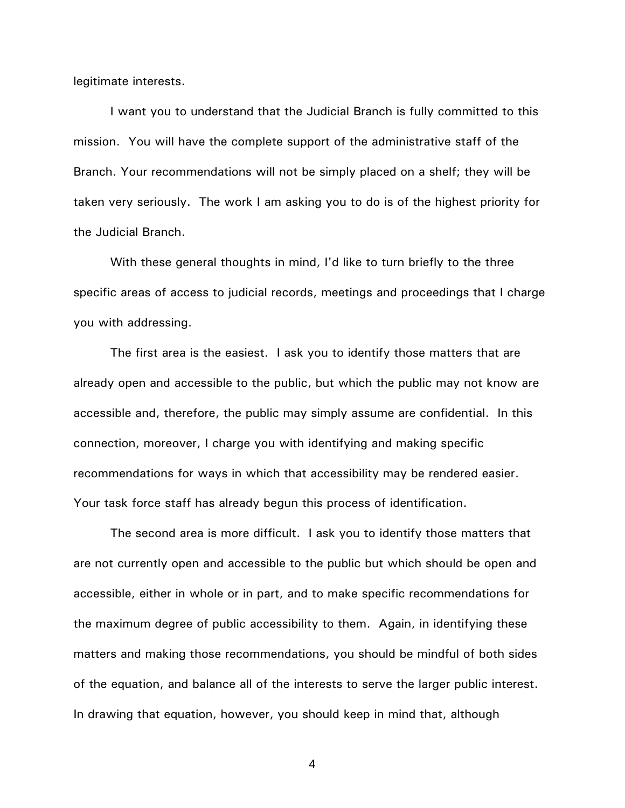legitimate interests.

 I want you to understand that the Judicial Branch is fully committed to this mission. You will have the complete support of the administrative staff of the Branch. Your recommendations will not be simply placed on a shelf; they will be taken very seriously. The work I am asking you to do is of the highest priority for the Judicial Branch.

 With these general thoughts in mind, I'd like to turn briefly to the three specific areas of access to judicial records, meetings and proceedings that I charge you with addressing.

 The first area is the easiest. I ask you to identify those matters that are already open and accessible to the public, but which the public may not know are accessible and, therefore, the public may simply assume are confidential. In this connection, moreover, I charge you with identifying and making specific recommendations for ways in which that accessibility may be rendered easier. Your task force staff has already begun this process of identification.

 The second area is more difficult. I ask you to identify those matters that are not currently open and accessible to the public but which should be open and accessible, either in whole or in part, and to make specific recommendations for the maximum degree of public accessibility to them. Again, in identifying these matters and making those recommendations, you should be mindful of both sides of the equation, and balance all of the interests to serve the larger public interest. In drawing that equation, however, you should keep in mind that, although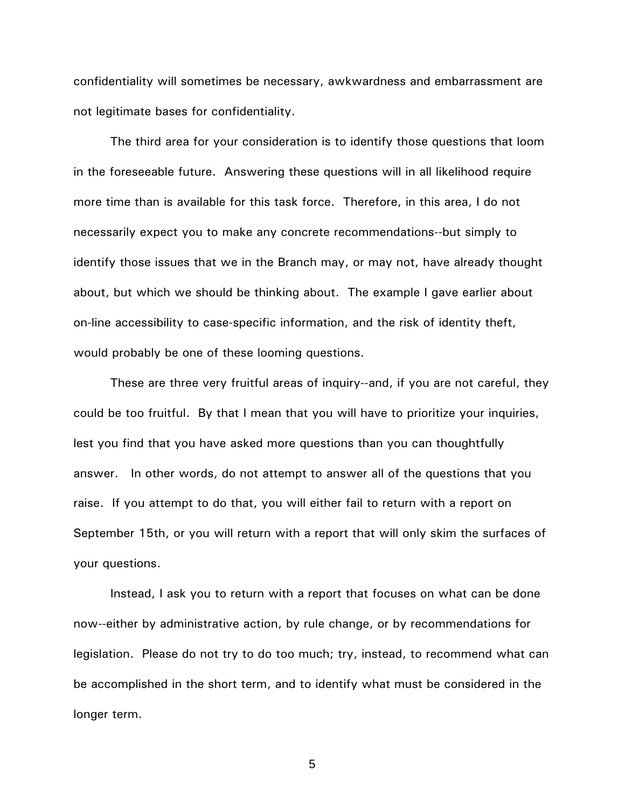confidentiality will sometimes be necessary, awkwardness and embarrassment are not legitimate bases for confidentiality.

 The third area for your consideration is to identify those questions that loom in the foreseeable future. Answering these questions will in all likelihood require more time than is available for this task force. Therefore, in this area, I do not necessarily expect you to make any concrete recommendations--but simply to identify those issues that we in the Branch may, or may not, have already thought about, but which we should be thinking about. The example I gave earlier about on-line accessibility to case-specific information, and the risk of identity theft, would probably be one of these looming questions.

 These are three very fruitful areas of inquiry--and, if you are not careful, they could be too fruitful. By that I mean that you will have to prioritize your inquiries, lest you find that you have asked more questions than you can thoughtfully answer. In other words, do not attempt to answer all of the questions that you raise. If you attempt to do that, you will either fail to return with a report on September 15th, or you will return with a report that will only skim the surfaces of your questions.

 Instead, I ask you to return with a report that focuses on what can be done now--either by administrative action, by rule change, or by recommendations for legislation. Please do not try to do too much; try, instead, to recommend what can be accomplished in the short term, and to identify what must be considered in the longer term.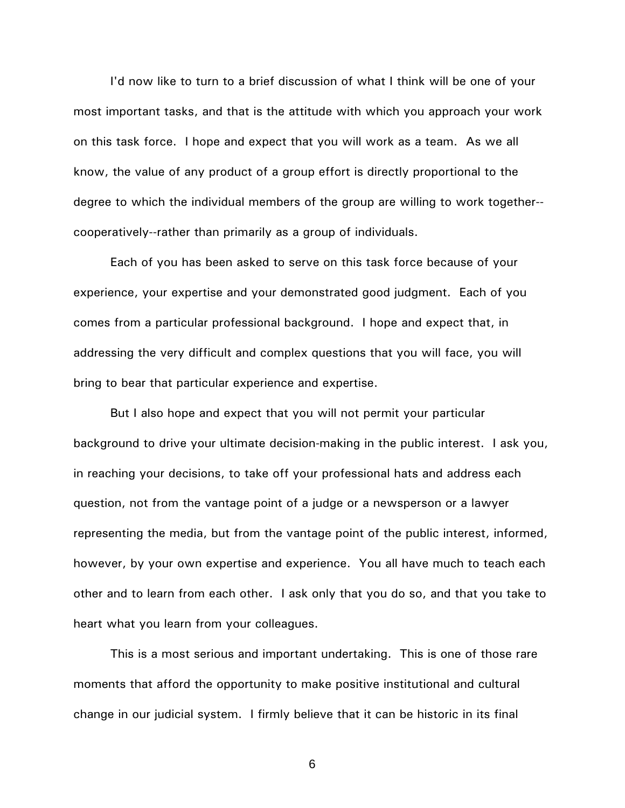I'd now like to turn to a brief discussion of what I think will be one of your most important tasks, and that is the attitude with which you approach your work on this task force. I hope and expect that you will work as a team. As we all know, the value of any product of a group effort is directly proportional to the degree to which the individual members of the group are willing to work together- cooperatively--rather than primarily as a group of individuals.

 Each of you has been asked to serve on this task force because of your experience, your expertise and your demonstrated good judgment. Each of you comes from a particular professional background. I hope and expect that, in addressing the very difficult and complex questions that you will face, you will bring to bear that particular experience and expertise.

 But I also hope and expect that you will not permit your particular background to drive your ultimate decision-making in the public interest. I ask you, in reaching your decisions, to take off your professional hats and address each question, not from the vantage point of a judge or a newsperson or a lawyer representing the media, but from the vantage point of the public interest, informed, however, by your own expertise and experience. You all have much to teach each other and to learn from each other. I ask only that you do so, and that you take to heart what you learn from your colleagues.

 This is a most serious and important undertaking. This is one of those rare moments that afford the opportunity to make positive institutional and cultural change in our judicial system. I firmly believe that it can be historic in its final